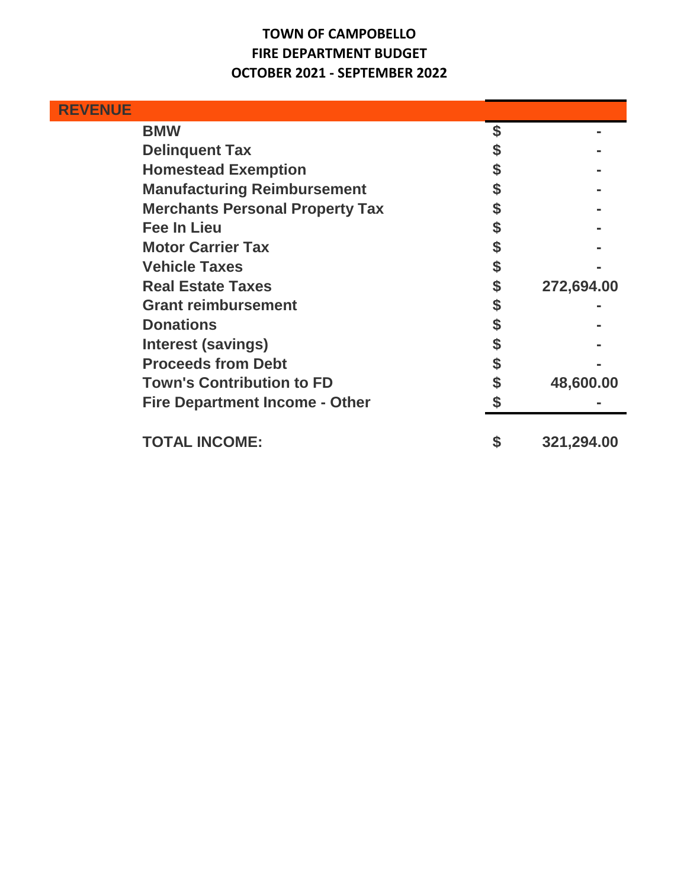## **TOWN OF CAMPOBELLO FIRE DEPARTMENT BUDGET OCTOBER 2021 - SEPTEMBER 2022**

| <b>REVENUE</b> |                                        |                  |
|----------------|----------------------------------------|------------------|
|                | <b>BMW</b>                             |                  |
|                | <b>Delinquent Tax</b>                  |                  |
|                | <b>Homestead Exemption</b>             |                  |
|                | <b>Manufacturing Reimbursement</b>     |                  |
|                | <b>Merchants Personal Property Tax</b> |                  |
|                | <b>Fee In Lieu</b>                     |                  |
|                | <b>Motor Carrier Tax</b>               |                  |
|                | <b>Vehicle Taxes</b>                   |                  |
|                | <b>Real Estate Taxes</b>               | 272,694.00       |
|                | <b>Grant reimbursement</b>             |                  |
|                | <b>Donations</b>                       |                  |
|                | <b>Interest (savings)</b>              |                  |
|                | <b>Proceeds from Debt</b>              |                  |
|                | <b>Town's Contribution to FD</b>       | 48,600.00        |
|                | <b>Fire Department Income - Other</b>  |                  |
|                | <b>TOTAL INCOME:</b>                   | \$<br>321,294.00 |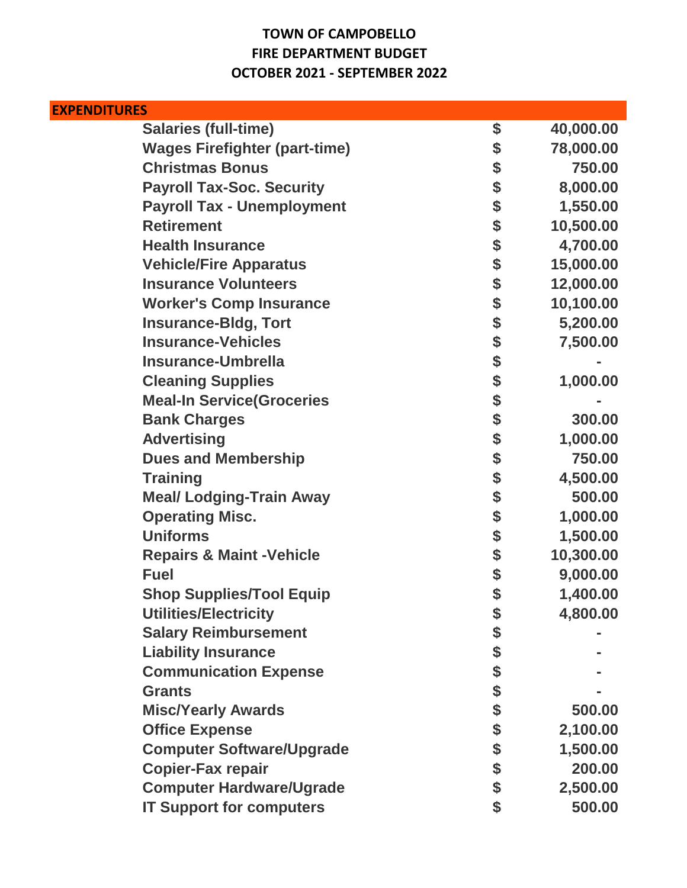## **TOWN OF CAMPOBELLO FIRE DEPARTMENT BUDGET OCTOBER 2021 - SEPTEMBER 2022**

| <b>EXPENDITURES</b>                  |        |           |
|--------------------------------------|--------|-----------|
| <b>Salaries (full-time)</b>          | \$     | 40,000.00 |
| <b>Wages Firefighter (part-time)</b> | \$     | 78,000.00 |
| <b>Christmas Bonus</b>               | \$     | 750.00    |
| <b>Payroll Tax-Soc. Security</b>     | \$     | 8,000.00  |
| <b>Payroll Tax - Unemployment</b>    | \$     | 1,550.00  |
| <b>Retirement</b>                    | \$     | 10,500.00 |
| <b>Health Insurance</b>              |        | 4,700.00  |
| <b>Vehicle/Fire Apparatus</b>        | \$\$\$ | 15,000.00 |
| <b>Insurance Volunteers</b>          |        | 12,000.00 |
| <b>Worker's Comp Insurance</b>       | \$     | 10,100.00 |
| <b>Insurance-Bidg, Tort</b>          | \$     | 5,200.00  |
| <b>Insurance-Vehicles</b>            | \$     | 7,500.00  |
| <b>Insurance-Umbrella</b>            | \$     |           |
| <b>Cleaning Supplies</b>             | \$     | 1,000.00  |
| <b>Meal-In Service (Groceries</b>    | \$     |           |
| <b>Bank Charges</b>                  | \$     | 300.00    |
| <b>Advertising</b>                   | \$     | 1,000.00  |
| <b>Dues and Membership</b>           | \$     | 750.00    |
| <b>Training</b>                      | \$     | 4,500.00  |
| <b>Meal/ Lodging-Train Away</b>      | \$     | 500.00    |
| <b>Operating Misc.</b>               | \$     | 1,000.00  |
| <b>Uniforms</b>                      | \$     | 1,500.00  |
| <b>Repairs &amp; Maint-Vehicle</b>   | \$     | 10,300.00 |
| <b>Fuel</b>                          | \$     | 9,000.00  |
| <b>Shop Supplies/Tool Equip</b>      | \$     | 1,400.00  |
| <b>Utilities/Electricity</b>         | \$     | 4,800.00  |
| <b>Salary Reimbursement</b>          | \$     |           |
| <b>Liability Insurance</b>           | \$     |           |
| <b>Communication Expense</b>         | \$     |           |
| <b>Grants</b>                        | \$     |           |
| <b>Misc/Yearly Awards</b>            | \$     | 500.00    |
| <b>Office Expense</b>                | \$     | 2,100.00  |
| <b>Computer Software/Upgrade</b>     |        | 1,500.00  |
| <b>Copier-Fax repair</b>             | \$\$   | 200.00    |
| <b>Computer Hardware/Ugrade</b>      |        | 2,500.00  |
| <b>IT Support for computers</b>      | \$     | 500.00    |